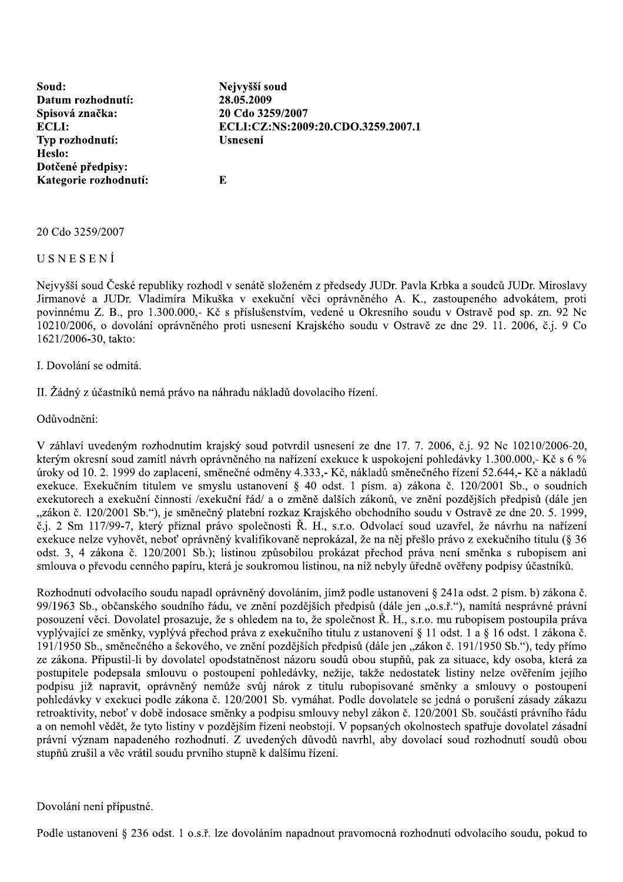Soud: Datum rozhodnutí: Spisová značka: **ECLI:** Typ rozhodnutí: Heslo: Dotčené předpisy: Kategorie rozhodnutí:

ECLI:CZ:NS:2009:20.CDO.3259.2007.1 **Usnesení** 

20 Cdo 3259/2007

Nejvyšší soud 28.05.2009

 $\mathbf{E}$ 

20 Cdo 3259/2007

USNESENÍ

Nejvyšší soud České republiky rozhodl v senátě složeném z předsedy JUDr. Pavla Krbka a soudců JUDr. Miroslavy Jirmanové a JUDr. Vladimíra Mikuška v exekuční věci oprávněného A. K., zastoupeného advokátem, proti povinnému Z. B., pro 1.300.000,- Kč s příslušenstvím, vedené u Okresního soudu v Ostravě pod sp. zn. 92 Nc 10210/2006, o dovolání oprávněného proti usnesení Krajského soudu v Ostravě ze dne 29. 11. 2006, č.j. 9 Co 1621/2006-30, takto:

I. Dovolání se odmítá.

II. Žádný z účastníků nemá právo na náhradu nákladů dovolacího řízení.

Odůvodnění:

V záhlaví uvedeným rozhodnutím krajský soud potvrdil usnesení ze dne 17. 7. 2006, č.j. 92 Nc 10210/2006-20, kterým okresní soud zamítl návrh oprávněného na nařízení exekuce k uspokojení pohledávky 1.300.000,- Kč s 6 % úroky od 10. 2. 1999 do zaplacení, směnečné odměny 4.333,- Kč, nákladů směnečného řízení 52.644,- Kč a nákladů exekuce. Exekučním titulem ve smyslu ustanovení § 40 odst. 1 písm. a) zákona č. 120/2001 Sb., o soudních exekutorech a exekuční činnosti /exekuční řád/ a o změně dalších zákonů, ve znění pozdějších předpisů (dále jen "zákon č. 120/2001 Sb."), je směnečný platební rozkaz Krajského obchodního soudu v Ostravě ze dne 20. 5. 1999, č.j. 2 Sm 117/99-7, který přiznal právo společnosti Ř. H., s.r.o. Odvolací soud uzavřel, že návrhu na nařízení exekuce nelze vyhovět, neboť oprávněný kvalifikovaně neprokázal, že na něj přešlo právo z exekučního titulu (§ 36 odst. 3, 4 zákona č. 120/2001 Sb.); listinou způsobilou prokázat přechod práva není směnka s rubopisem ani smlouva o převodu cenného papíru, která je soukromou listinou, na níž nebyly úředně ověřeny podpisy účastníků.

Rozhodnutí odvolacího soudu napadl oprávněný dovoláním, jímž podle ustanovení § 241a odst. 2 písm. b) zákona č. 99/1963 Sb., občanského soudního řádu, ve znění pozdějších předpisů (dále jen "o.s.ř."), namítá nesprávné právní posouzení věci. Dovolatel prosazuje, že s ohledem na to, že společnost Ř. H., s.r.o. mu rubopisem postoupila práva vyplývající ze směnky, vyplývá přechod práva z exekučního titulu z ustanovení § 11 odst. 1 a § 16 odst. 1 zákona č. 191/1950 Sb., směnečného a šekového, ve znění pozdějších předpisů (dále jen "zákon č. 191/1950 Sb."), tedy přímo ze zákona. Připustil-li by dovolatel opodstatněnost názoru soudů obou stupňů, pak za situace, kdy osoba, která za postupitele podepsala smlouvu o postoupení pohledávky, nežije, takže nedostatek listiny nelze ověřením jejího podpisu již napravit, oprávněný nemůže svůj nárok z titulu rubopisované směnky a smlouvy o postoupení pohledávky v exekuci podle zákona č. 120/2001 Sb. vymáhat. Podle dovolatele se jedná o porušení zásady zákazu retroaktivity, neboť v době indosace směnky a podpisu smlouvy nebyl zákon č. 120/2001 Sb. součástí právního řádu a on nemohl vědět, že tyto listiny v pozdějším řízení neobstojí. V popsaných okolnostech spatřuje dovolatel zásadní právní význam napadeného rozhodnutí. Z uvedených důvodů navrhl, aby dovolací soud rozhodnutí soudů obou stupňů zrušil a věc vrátil soudu prvního stupně k dalšímu řízení.

Dovolání není přípustné.

Podle ustanovení § 236 odst. 1 o.s.ř. lze dovoláním napadnout pravomocná rozhodnutí odvolacího soudu, pokud to